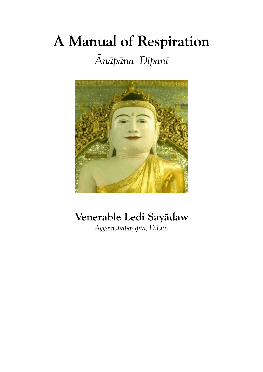# **A Manual of Respiration**

# *Ænæpæna Døpanø*



# **Venerable Ledi Sayædaw**

*Aggamahæpa¼ðita, D.Litt.*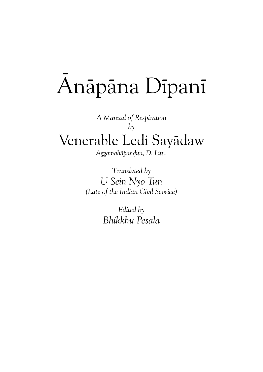# Anāpāna Dīpanī

*A Manual of Respiration by* Venerable Ledi Sayadaw

*Aggamahæpa¼ðita, D. Litt.,*

*Translated by U Sein Nyo Tun (Late of the Indian Civil Service)*

> *Edited by Bhikkhu Pesala*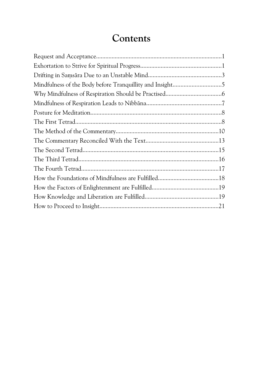## **Contents**

| Mindfulness of the Body before Tranquillity and Insight5 |
|----------------------------------------------------------|
|                                                          |
|                                                          |
|                                                          |
|                                                          |
|                                                          |
|                                                          |
|                                                          |
|                                                          |
|                                                          |
|                                                          |
|                                                          |
|                                                          |
|                                                          |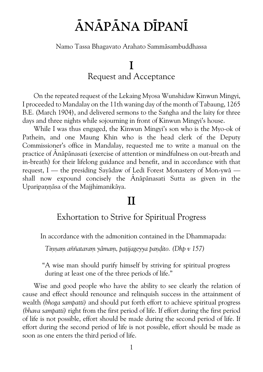# **ÆNÆPÆNA DØPANØ**

Namo Tassa Bhagavato Arahato Sammæsambuddhassa

## **I** Request and Acceptance

On the repeated request of the Lekaing Myosa Wunshidaw Kinwun Mingyi, I proceeded to Mandalay on the 11th waning day of the month of Tabaung, 1265 B.E. (March 1904), and delivered sermons to the Sangha and the laity for three days and three nights while sojourning in front of Kinwun Mingyi's house.

While I was thus engaged, the Kinwun Mingyi's son who is the Myo-ok of Pathein, and one Maung Khin who is the head clerk of the Deputy Commissioner's office in Mandalay, requested me to write a manual on the practice of Anāpānasati (exercise of attention or mindfulness on out-breath and in-breath) for their lifelong guidance and benefit, and in accordance with that request, I — the presiding Sayædaw of Ledi Forest Monastery of Mon-ywæ shall now expound concisely the Anāpānasati Sutta as given in the Uparipannāsa of the Majjhimanikāya.

## **II**

#### Exhortation to Strive for Spiritual Progress

In accordance with the admonition contained in the Dhammapada:

Tinnam aññataram yāmam, patijageyya pandito. (Dhp v 157)

"A wise man should purify himself by striving for spiritual progress during at least one of the three periods of life."

Wise and good people who have the ability to see clearly the relation of cause and effect should renounce and relinquish success in the attainment of wealth*(bhoga sampatti)* and should put forth effort to achieve spiritual progress *(bhava sampatti)* right from the first period of life. If effort during the first period of life is not possible, effort should be made during the second period of life. If effort during the second period of life is not possible, effort should be made as soon as one enters the third period of life.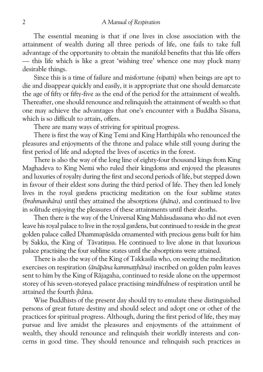The essential meaning is that if one lives in close association with the attainment of wealth during all three periods of life, one fails to take full advantage of the opportunity to obtain the manifold benefits that this life offers — this life which is like a great 'wishing tree' whence one may pluck many desirable things.

Since this is a time of failure and misfortune*(vipatti)* when beings are apt to die and disappear quickly and easily, it is appropriate that one should demarcate the age of fifty or fifty-five as the end of the period for the attainment of wealth. Thereafter, one should renounce and relinquish the attainment of wealth so that one may achieve the advantages that one's encounter with a Buddha Sāsana, which is so difficult to attain, offers.

There are many ways of striving for spiritual progress.

There is first the way of King Temi and King Hatthipala who renounced the pleasures and enjoyments of the throne and palace while still young during the first period of life and adopted the lives of ascetics in the forest.

There is also the way of the long line of eighty-four thousand kings from King Maghadeva to King Nemi who ruled their kingdoms and enjoyed the pleasures and luxuries of royalty during the first and second periods of life, but stepped down in favour of their eldest sons during the third period of life. They then led lonely lives in the royal gardens practicing meditation on the four sublime states *(brahmavihæra)* until they attained the absorptions*(jhæna),* and continued to live in solitude enjoying the pleasures of these attainments until their deaths.

Then there is the way of the Universal King Mahāsudassana who did not even leave his royal palace to live in the royal gardens, but continued to reside in the great golden palace called Dhammapāsāda ornamented with precious gems built for him by Sakka, the King of Tāvatimsa. He continued to live alone in that luxurious palace practising the four sublime states until the absorptions were attained.

There is also the way of the King of Takkasila who, on seeing the meditation exercises on respiration (ānāpāņa kammatthāņa) inscribed on golden palm leaves sent to him by the King of Rājagaha, continued to reside alone on the uppermost storey of his seven-storeyed palace practising mindfulness of respiration until he attained the fourth jhāna.

Wise Buddhists of the present day should try to emulate these distinguished persons of great future destiny and should select and adopt one or other of the practices for spiritual progress. Although, during the first period of life, they may pursue and live amidst the pleasures and enjoyments of the attainment of wealth, they should renounce and relinquish their worldly interests and con cerns in good time. They should renounce and relinquish such practices as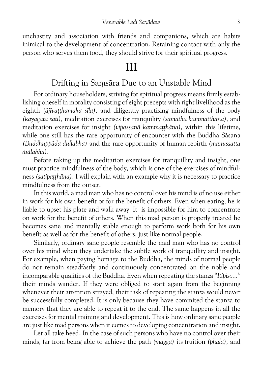unchastity and association with friends and companions, which are habits inimical to the development of concentration. Retaining contact with only the person who serves them food, they should strive for their spiritual progress.

### **III**

#### Drifting in Samsāra Due to an Unstable Mind

For ordinary householders, striving for spiritual progress means firmly estab lishing oneself in morality consisting of eight precepts with right livelihood as the eighth (ājīvatthamaka sīla), and diligently practising mindfulness of the body *(kæyagatæ sati),* meditation exercises for tranquility*(samatha kamma¥¥hæna),* and meditation exercises for insight (vipassanā kammatthāna), within this lifetime, while one still has the rare opportunity of encounter with the Buddha Sāsana *(Buddhuppæda dullabha)* and the rare opportunity of human rebirth*(manussatta dullabha).*

Before taking up the meditation exercises for tranquillity and insight, one must practice mindfulness of the body, which is one of the exercises of mindful ness*(satipa¥¥hæna).*I will explain with an example why it is necessary to practice mindfulness from the outset.

In this world, a mad man who has no control over his mind is of no use either in work for his own benefit or for the benefit of others. Even when eating, he is liable to upset his plate and walk away. It is impossible for him to concentrate on work for the benefit of others. When this mad person is properly treated he becomes sane and mentally stable enough to perform work both for his own benefit as well as for the benefit of others, just like normal people.

Similarly, ordinary sane people resemble the mad man who has no control over his mind when they undertake the subtle work of tranquillity and insight. For example, when paying homage to the Buddha, the minds of normal people do not remain steadfastly and continuously concentrated on the noble and incomparable qualities of the Buddha. Even when repeating the stanza*"Itipiso..."* their minds wander. If they were obliged to start again from the beginning whenever their attention strayed, their task of repeating the stanza would never be successfully completed. It is only because they have commited the stanza to memory that they are able to repeat it to the end. The same happens in all the exercises for mental training and development. This is how ordinary sane people are just like mad persons when it comes to developing concentration and insight.

Let all take heed! In the case of such persons who have no control over their minds, far from being able to achieve the path*(magga)* its fruition*(phala),* and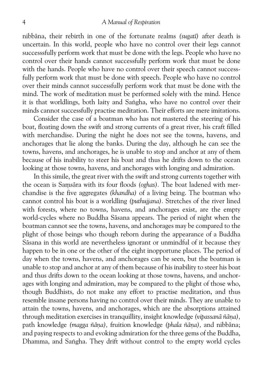#### 4 *A Manual of Respiration*

nibbæna, their rebirth in one of the fortunate realms*(sugatø)* after death is uncertain. In this world, people who have no control over their legs cannot successsfully perform work that must be done with the legs. People who have no control over their hands cannot successfully perform work that must be done with the hands. People who have no control over their speech cannot successfully perform work that must be done with speech. People who have no control over their minds cannot successfully perform work that must be done with the mind. The work of meditation must be performed solely with the mind. Hence it is that worldlings, both laity and Saṅgha, who have no control over their minds cannot successfully practise meditation. Their efforts are mere imitations.

Consider the case of a boatman who has not mastered the steering of his boat, floating down the swift and strong currents of a great river, his craft filled with merchandise. During the night he does not see the towns, havens, and anchorages that lie along the banks. During the day, although he can see the towns, havens, and anchorages, he is unable to stop and anchor at any of them because of his inability to steer his boat and thus he drifts down to the ocean looking at those towns, havens, and anchorages with longing and admiration.

In this simile, the great river with the swift and strong currents together with the ocean is Samsāra with its four floods (oghas). The boat ladened with merchandise is the five aggregates*(khandha)* of a living being. The boatman who cannot control his boat is a worldling*(puthujjana).* Stretches of the river lined with forests, where no towns, havens, and anchorages exist, are the empty world-cycles where no Buddha Sæsana appears. The period of night when the boatman cannot see the towns, havens, and anchorages may be compared to the plight of those beings who though reborn during the appearance of a Buddha Sæsana in this world are nevertheless ignorant or unmindful of it because they happen to be in one or the other of the eight inopportune places. The period of day when the towns, havens, and anchorages can be seen, but the boatman is unable to stop and anchor at any of them because of his inability to steer his boat and thus drifts down to the ocean looking at those towns, havens, and anchor ages with longing and admiration, may be compared to the plight of those who, though Buddhists, do not make any effort to practise meditation, and thus resemble insane persons having no control over their minds. They are unable to attain the towns, havens, and anchorages, which are the absorptions attained through meditation exercises in tranquillity, insight knowledge (vipassanā ñāna), path knowledge *(magga ñāna)*, fruition knowledge *(phala ñāna)*, and nibbāna; and paying respects to and evoking admiration for the three gems of the Buddha, Dhamma, and Saṅgha. They drift without control to the empty world cycles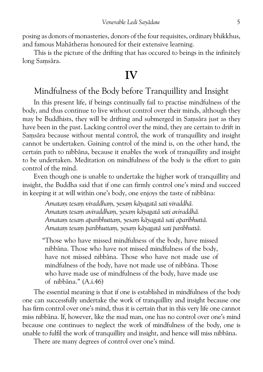posing as donors of monasteries, donors of the four requisites, ordinary bhikkhus, and famous Mahātheras honoured for their extensive learning.

This is the picture of the drifting that has occured to beings in the infinitely long Samsāra.

## **IV**

#### Mindfulness of the Body before Tranquillity and Insight

In this present life, if beings continually fail to practise mindfulness of the body, and thus continue to live without control over their minds, although they may be Buddhists, they will be drifting and submerged in Samsāra just as they have been in the past. Lacking control over the mind, they are certain to drift in Samsara because without mental control, the work of tranquillity and insight cannot be undertaken. Gaining control of the mind is, on the other hand, the certain path to nibbāna, because it enables the work of tranquillity and insight to be undertaken. Meditation on mindfulness of the body is the effort to gain control of the mind.

Even though one is unable to undertake the higher work of tranquillity and insight, the Buddha said that if one can firmly control one's mind and succeed in keeping it at will within one's body, one enjoys the taste of nibbana:

> *Amataµ tesaµ viraddhaµ, yesaµ kæyagatæ sati viraddhæ. Amataµ tesaµ aviraddhaµ, yesaµ kæyagatæ sati aviraddhæ. Amataµ tesaµ aparibhuttaµ, yesaµ kæyagatæ sati aparibhuttæ. Amataµ tesaµ paribhuttaµ, yesaµ kæyagatæ sati paribhuttæ.*

"Those who have missed mindfulness of the body, have missed nibbāna. Those who have not missed mindfulness of the body, have not missed nibbana. Those who have not made use of mindfulness of the body, have not made use of nibbāna. Those who have made use of mindfulness of the body, have made use of nibbæna." (A.i.46)

The essential meaning is that if one is established in mindfulness of the body one can successfully undertake the work of tranquillity and insight because one has firm control over one's mind, thus it is certain that in this very life one cannot miss nibbæna. If, however, like the mad man, one has no control over one's mind because one continues to neglect the work of mindfulness of the body, one is unable to fulfil the work of tranquillity and insight, and hence will miss nibbāna.

There are many degrees of control over one's mind.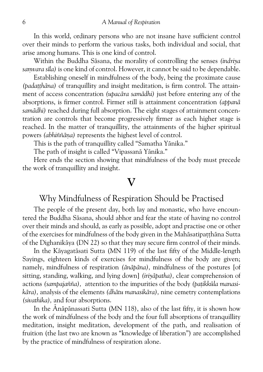In this world, ordinary persons who are not insane have sufficient control over their minds to perform the various tasks, both individual and social, that arise among humans. This is one kind of control.

Within the Buddha Sæsana, the morality of controlling the senses*(indriya* samvara sīla) is one kind of control. However, it cannot be said to be dependable.

Establishing oneself in mindfulness of the body, being the proximate cause (padatthāna) of tranquillity and insight meditation, is firm control. The attainment of access concentration *(upacāra samādhi)* just before entering any of the absorptions, is firmer control. Firmer still is attainment concentration*(appanæ* samādhi) reached during full absorption. The eight stages of attainment concentration are controls that become progressively firmer as each higher stage is reached. In the matter of tranquillity, the attainments of the higher spiritual powers *(abhiññāna)* represents the highest level of control.

This is the path of tranquillity called "Samatha Yānika."

The path of insight is called "Vipassanā Yānika."

Here ends the section showing that mindfulness of the body must precede the work of tranquillity and insight.

#### **V**

#### Why Mindfulness of Respiration Should be Practised

The people of the present day, both lay and monastic, who have encoun tered the Buddha Sāsana, should abhor and fear the state of having no control over their minds and should, as early as possible, adopt and practise one or other of the exercises for mindfulness of the body given in the Mahāsatipatthāna Sutta of the Dighanikæya (DN 22) so that they may secure firm control of their minds.

In the Kāyagatāsati Sutta (MN 119) of the last fifty of the Middle-length Sayings, eighteen kinds of exercises for mindfulness of the body are given; namely, mindfulness of respiration*(ænæpæna),* mindfulness of the postures [of sitting, standing, walking, and lying down]*(iriyæpatha),* clear comprehension of actions *(sampajañña)*, attention to the impurities of the body *(patikkūla manasikæra),* analysis of the elements*(dhætu manasikæra),* nine cemetry contemplations *(sivathika),* and four absorptions.

In the Anāpānassati Sutta (MN 118), also of the last fifty, it is shown how the work of mindfulness of the body and the four full absorptions of tranquillity meditation, insight meditation, development of the path, and realisation of fruition (the last two are known as "knowledge of liberation") are accomplished by the practice of mindfulness of respiration alone.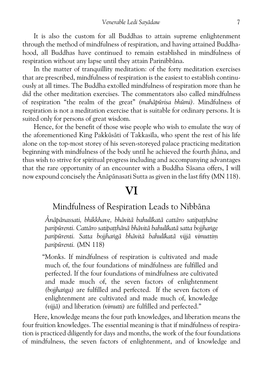It is also the custom for all Buddhas to attain supreme enlightenment through the method of mindfulness of respiration, and having attained Buddha hood, all Buddhas have continued to remain established in mindfulness of respiration without any lapse until they attain Parinibbana.

In the matter of tranquillity meditation: of the forty meditation exercises that are prescribed, mindfulness of respiration is the easiest to establish continu ously at all times. The Buddha extolled mindfulness of respiration more than he did the other meditation exercises. The commentators also called mindfulness of respiration "the realm of the great"*(mahæpþrisa bhþmi).* Mindfulness of respiration is not a meditation exercise that is suitable for ordinary persons. It is suited only for persons of great wisdom.

Hence, for the benefit of those wise people who wish to emulate the way of the aforementioned King Pakkūsāti of Takkasīla, who spent the rest of his life alone on the top-most storey of his seven-storeyed palace practicing meditation beginning with mindfulness of the body until he achieved the fourth jhāna, and thus wish to strive for spiritual progress including and accompanying advantages that the rare opportunity of an encounter with a Buddha Sāsana offers, I will now expound concisely the  $\bar{A}$ nāpānasati Sutta as given in the last fifty (MN 118).

## **VI**

#### Mindfulness of Respiration Leads to Nibbāna

*Ænæpænassati, bhikkhave, bhævitæ bahuløkatæ cattæro satipa¥¥hæne* paripūrenti. Cattāro satipatthānā bhāvitā bahulīkatā satta bojjhange paripūrenti. Satta bojjhangā bhāvitā bahulīkatā vijjā vimuttim *paripþrenti.*(MN 118)

"Monks. If mindfulness of respiration is cultivated and made much of, the four foundations of mindfulness are fulfilled and perfected. If the four foundations of mindfulness are cultivated and made much of, the seven factors of enlightenment *(bojjhanga)* are fulfilled and perfected. If the seven factors of enlightenment are cultivated and made much of, knowledge *(vijjæ)* and liberation*(vimutti)* are fulfilled and perfected."

Here, knowledge means the four path knowledges, and liberation means the four fruition knowledges. The essential meaning is that if mindfulness of respira tion is practiced diligently for days and months, the work of the four foundations of mindfulness, the seven factors of enlightenment, and of knowledge and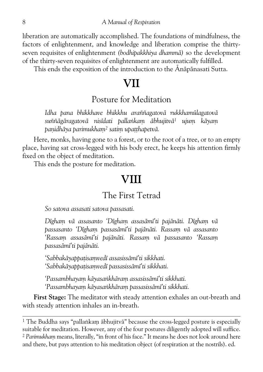liberation are automatically accomplished. The foundations of mindfulness, the factors of enlightenment, and knowledge and liberation comprise the thirty seven requisites of enlightenment*(bodhipakkhiya dhammæ)* so the development of the thirty-seven requisites of enlightenment are automatically fulfilled.

This ends the exposition of the introduction to the Anāpānasati Sutta.

## **VII**

#### Posture for Meditation

Idha pana bhikkhave bhikkhu araññagatovā rukkhamūlagatovā *suññægæragatovæ nisødati palla³kaµ æbhujitvæ1 ujuµ kæyaµ panidhāya parimukham<sup>2</sup> satim upatthapetvā.* 

Here, monks, having gone to a forest, or to the root of a tree, or to an empty place, having sat cross-legged with his body erect, he keeps his attention firmly fixed on the object of meditation.

This ends the posture for meditation.

## **VIII**

#### The First Tetrad

*So satova assasati satova passasati.*

*Døghaµ væ assasanto 'Døghaµ assasæmø'ti pajænæti. Døghaµ væ passasanto 'Døghaµ passasæmø'ti pajænæti. Rassaµ væ assasanto 'Rassaµ assasæmø'ti pajænæti. Rassaµ væ passasanto 'Rassaµ passasæmø'ti pajænæti.*

*'Sabbakæyappa¥isaµvedø assasissæmø'ti sikkhati. 'Sabbakæyappa¥isaµvedø passasissæmø'ti sikkhati.*

*'Passambhayaµ kæyasa³khæraµ assasissæmø'ti sikkhati. 'Passambhayaµ kæyasa³khæraµ passasissæmø'ti sikkhati.*

**First Stage:** The meditator with steady attention exhales an out-breath and with steady attention inhales an in-breath.

 $1$  The Buddha says "pallankam ābhujitvā" because the cross-legged posture is especially suitable for meditation. However, any of the four postures diligently adopted will suffice. <sup>2</sup> Parimukham means, literally, "in front of his face." It means he does not look around here and there, but pays attention to his meditation object (of respiration at the nostrils). ed.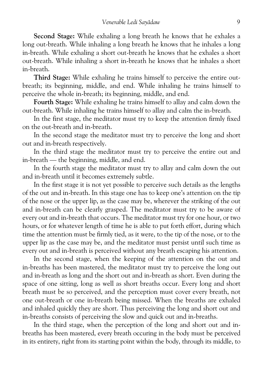**Second Stage:** While exhaling a long breath he knows that he exhales a long out-breath. While inhaling a long breath he knows that he inhales a long in-breath. While exhaling a short out-breath he knows that he exhales a short out-breath. While inhaling a short in-breath he knows that he inhales a short in-breath.

**Third Stage:** While exhaling he trains himself to perceive the entire out breath; its beginning, middle, and end. While inhaling he trains himself to perceive the whole in-breath; its beginning, middle, and end.

**Fourth Stage:**While exhaling he trains himself to allay and calm down the out-breath. While inhaling he trains himself to allay and calm the in-breath.

In the first stage, the meditator must try to keep the attention firmly fixed on the out-breath and in-breath.

In the second stage the meditator must try to perceive the long and short out and in-breath respectively.

In the third stage the meditator must try to perceive the entire out and in-breath — the beginning, middle, and end.

In the fourth stage the meditator must try to allay and calm down the out and in-breath until it becomes extremely subtle.

In the first stage it is not yet possible to perceive such details as the lengths of the out and in-breath. In this stage one has to keep one's attention on the tip of the nose or the upper lip, as the case may be, wherever the striking of the out and in-breath can be clearly grasped. The meditator must try to be aware of every out and in-breath that occurs. The meditator must try for one hour, or two hours, or for whatever length of time he is able to put forth effort, during which time the attention must be firmly tied, as it were, to the tip of the nose, or to the upper lip as the case may be, and the meditator must persist until such time as every out and in-breath is perceived without any breath escaping his attention.

In the second stage, when the keeping of the attention on the out and in-breaths has been mastered, the meditator must try to perceive the long out and in-breath as long and the short out and in-breath as short. Even during the space of one sitting, long as well as short breaths occur. Every long and short breath must be so perceived, and the perception must cover every breath, not one out-breath or one in-breath being missed. When the breaths are exhaled and inhaled quickly they are short. Thus perceiving the long and short out and in-breaths consists of perceiving the slow and quick out and in-breaths.

In the third stage, when the perception of the long and short out and in breaths has been mastered, every breath occuring in the body must be perceived in its entirety, right from its starting point within the body, through its middle, to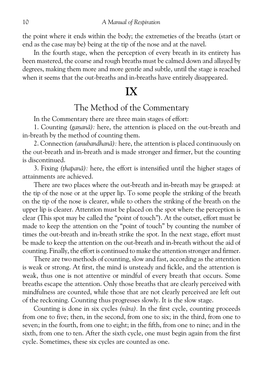the point where it ends within the body; the extremeties of the breaths (start or end as the case may be) being at the tip of the nose and at the navel.

In the fourth stage, when the perception of every breath in its entirety has been mastered, the coarse and rough breaths must be calmed down and allayed by degrees, making them more and more gentle and subtle, until the stage is reached when it seems that the out-breaths and in-breaths have entirely disappeared.

## **IX**

#### The Method of the Commentary

In the Commentary there are three main stages of effort:

1. Counting *(gananā)*: here, the attention is placed on the out-breath and in-breath by the method of counting them.

2. Connection*(anubandhanæ):* here, the attention is placed continuously on the out-breath and in-breath and is made stronger and firmer, but the counting is discontinued.

3. Fixing*(¥hapanæ):* here, the effort is intensified until the higher stages of attainments are achieved.

There are two places where the out-breath and in-breath may be grasped: at the tip of the nose or at the upper lip. To some people the striking of the breath on the tip of the nose is clearer, while to others the striking of the breath on the upper lip is clearer. Attention must be placed on the spot where the perception is clear (This spot may be called the "point of touch"). At the outset, effort must be made to keep the attention on the "point of touch" by counting the number of times the out-breath and in-breath strike the spot. In the next stage, effort must be made to keep the attention on the out-breath and in-breath without the aid of counting. Finally, the effort is continued to make the attention stronger and firmer.

There are two methods of counting, slow and fast, according as the attention is weak or strong. At first, the mind is unsteady and fickle, and the attention is weak, thus one is not attentive or mindful of every breath that occurs. Some breaths escape the attention. Only those breaths that are clearly perceived with mindfulness are counted, while those that are not clearly perceived are left out of the reckoning. Counting thus progresses slowly. It is the slow stage.

Counting is done in six cycles*(væra).* In the first cycle, counting proceeds from one to five; then, in the second, from one to six; in the third, from one to seven; in the fourth, from one to eight; in the fifth, from one to nine; and in the sixth, from one to ten. After the sixth cycle, one must begin again from the first cycle. Sometimes, these six cycles are counted as one.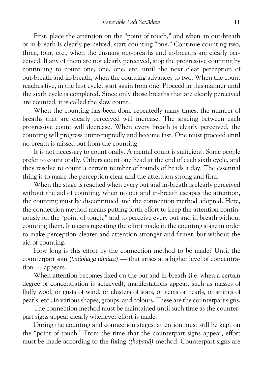First, place the attention on the "point of touch," and when an out-breath or in-breath is clearly perceived, start counting "one." Continue counting two, three, four, etc., when the ensuing out-breaths and in-breaths are clearly per ceived. If any of them are not clearly perceived, stop the progressive counting by continuing to count one, one, one, etc, until the next clear perception of out-breath and in-breath, when the counting advances to two. When the count reaches five, in the first cycle, start again from one. Proceed in this manner until the sixth cycle is completed. Since only those breaths that are clearly perceived are counted, it is called the slow count.

When the counting has been done repeatedly many times, the number of breaths that are clearly perceived will increase. The spacing between each progressive count will decrease. When every breath is clearly perceived, the counting will progress uninteruptedly and become fast. One must proceed until no breath is missed out from the counting.

It is not necessary to count orally. A mental count is sufficient. Some people prefer to count orally. Others count one bead at the end of each sixth cycle, and they resolve to count a certain number of rounds of beads a day. The essential thing is to make the perception clear and the attention strong and firm.

When the stage is reached when every out and in-breath is clearly perceived without the aid of counting, when no out and in-breath escapes the attention, the counting must be discontinued and the connection method adopted. Here, the connection method means putting forth effort to keep the attention contin uously on the "point of touch," and to perceive every out and in breath without counting them. It means repeating the effort made in the counting stage in order to make perception clearer and attention stronger and firmer, but without the aid of counting.

How long is this effort by the connection method to be made? Until the counterpart sign (patibhāga nimitta) — that arises at a higher level of concentration — appears.

When attention becomes fixed on the out and in-breath (i.e. when a certain degree of concentration is achieved), manifestations appear, such as masses of fluffy wool, or gusts of wind, or clusters of stars, or gems or pearls, or strings of pearls, etc., in various shapes, groups, and colours. These are the counterpart signs.

The connection method must be maintained until such time as the counter part signs appear clearly whenever effort is made.

During the counting and connection stages, attention must still be kept on the "point of touch." From the time that the counterpart signs appear, effort must be made according to the fixing (thapana) method. Counterpart signs are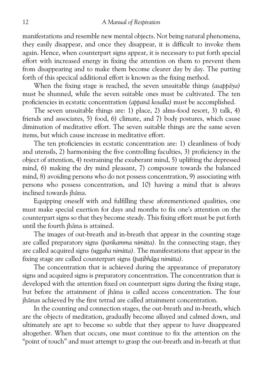manifestations and resemble new mental objects. Not being natural phenomena, they easily disappear, and once they disappear, it is difficult to invoke them again. Hence, when counterpart signs appear, it is necessary to put forth special effort with increased energy in fixing the attention on them to prevent them from disappearing and to make them become clearer day by day. The putting forth of this specical additional effort is known as the fixing method.

When the fixing stage is reached, the seven unsuitable things (asappaya) must be shunned, while the seven suitable ones must be cultivated. The ten proficiencies in ecstatic concentration*(appanæ kosalla)* must be accomplished.

The seven unsuitable things are: 1) place, 2) alms-food resort, 3) talk, 4) friends and associates, 5) food, 6) climate, and 7) body postures, which cause diminution of meditative effort. The seven suitable things are the same seven items, but which cause increase in meditative effort.

The ten proficiencies in ecstatic concentration are: 1) cleanliness of body and utensils, 2) harmonising the five controlling faculties, 3) proficiency in the object of attention, 4) restraining the exuberant mind, 5) uplifting the depressed mind, 6) making the dry mind pleasant, 7) composure towards the balanced mind, 8) avoiding persons who do not possess concentration, 9) associating with persons who possess concentration, and 10) having a mind that is always inclined towards jhæna.

Equipping oneself with and fulfilling these aforementioned qualities, one must make special exertion for days and months to fix one's attention on the counterpart signs so that they become steady. This fixing effort must be put forth until the fourth jhāna is attained.

The images of out-breath and in-breath that appear in the counting stage are called preparatory signs*(parikamma nimitta).* In the connecting stage, they are called acquired signs*(uggaha nimitta).* The manifestations that appear in the fixing stage are called counterpart signs *(batibhāga nimitta)*.

The concentration that is achieved during the appearance of preparatory signs and acquired signs is preparatory concentration. The concentration that is developed with the attention fixed on counterpart signs during the fixing stage, but before the attainment of jhāna is called access concentration. The four jhænas achieved by the first tetrad are called attainment concentration.

In the counting and connection stages, the out-breath and in-breath, which are the objects of meditation, gradually become allayed and calmed down, and ultimately are apt to become so subtle that they appear to have disappeared altogether. When that occurs, one must continue to fix the attention on the "point of touch" and must attempt to grasp the out-breath and in-breath at that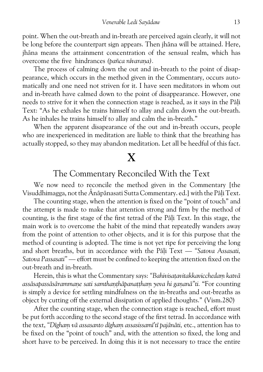point. When the out-breath and in-breath are perceived again clearly, it will not be long before the counterpart sign appears. Then jhāna will be attained. Here, jhāna means the attainment concentration of the sensual realm, which has overcome the five hindrances *(pañca nīvarana)*.

The process of calming down the out and in-breath to the point of disap pearance, which occurs in the method given in the Commentary, occurs auto matically and one need not striven for it. I have seen meditators in whom out and in-breath have calmed down to the point of disappearance. However, one needs to strive for it when the connection stage is reached, as it says in the Pāli Text: "As he exhales he trains himself to allay and calm down the out-breath. As he inhales he trains himself to allay and calm the in-breath."

When the apparent disapearance of the out and in-breath occurs, people who are inexperienced in meditation are liable to think that the breathing has actually stopped, so they may abandon meditation. Let all be heedful of this fact.

## **X**

#### The Commentary Reconciled With the Text

We now need to reconcile the method given in the Commentary [the Visuddhimagga, not the Anāpānasati Sutta Commentary. ed. with the Pāli Text.

The counting stage, when the attention is fixed on the "point of touch" and the attempt is made to make that attention strong and firm by the method of counting, is the first stage of the first tetrad of the Pali Text. In this stage, the main work is to overcome the habit of the mind that repeatedly wanders away from the point of attention to other objects, and it is for this purpose that the method of counting is adopted. The time is not yet ripe for perceiving the long and short breaths, but in accordance with the Pali Text — "Satova Assasati, *Satova Passasati"* — effort must be confined to keeping the attention fixed on the out-breath and in-breath.

Herein, this is what the Commentary says: "Bahivisatavitakkavicchedam katvā *assæsapassæsæramma¼e sati samtha¼¥hæpana¥¥haµ yeva hi ga¼anæ"ti.*"For counting is simply a device for settling mindfulness on the in-breaths and out-breaths as object by cutting off the external dissipation of applied thoughts." (Vism.280)

After the counting stage, when the connection stage is reached, effort must be put forth according to the second stage of the first tetrad. In accordance with the text, "Digham vā assasanto digham assasissami'tī pajānāti, etc., attention has to be fixed on the "point of touch" and, with the attention so fixed, the long and short have to be perceived. In doing this it is not necessary to trace the entire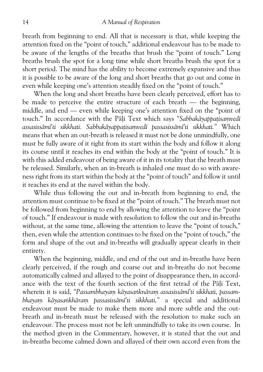breath from beginning to end. All that is necessary is that, while keeping the attention fixed on the "point of touch," additional endeavour has to be made to be aware of the lengths of the breaths that brush the "point of touch." Long breaths brush the spot for a long time while short breaths brush the spot for a short period. The mind has the ability to become extremely expansive and thus it is possible to be aware of the long and short breaths that go out and come in even while keeping one's attention steadily fixed on the "point of touch."

When the long and short breaths have been clearly perceived, effort has to be made to perceive the entire structure of each breath — the beginning, middle, and end — even while keeping one's attention fixed on the "point of touch." In accordance with the Pāli Text which says "Sabbakāyappatisamvedī *assasissæmø'ti sikkhati. Sabbakæyappa¥isaµvedø passasissæmø'ti sikkhati."* Which means that when an out-breath is released it must not be done unmindfully, one must be fully aware of it right from its start within the body and follow it along its course until it reaches its end within the body at the "point of touch." It is with this added endeavour of being aware of it in its totality that the breath must be released. Similarly, when an in-breath is inhaled one must do so with aware ness right from its start within the body at the "point of touch" and follow it until it reaches its end at the navel within the body.

While thus following the out and in-breath from beginning to end, the attention must continue to be fixed at the "point of touch." The breath must not be followed from beginning to end by allowing the attention to leave the "point of touch." If endeavour is made with resolution to follow the out and in-breaths without, at the same time, allowing the attention to leave the "point of touch," then, even while the attention continues to be fixed on the "point of touch," the form and shape of the out and in-breaths will gradually appear clearly in their entirety.

When the beginning, middle, and end of the out and in-breaths have been clearly perceived, if the rough and coarse out and in-breaths do not become automatically calmed and allayed to the point of disappearance then, in accord ance with the text of the fourth section of the first tetrad of the Pali Text, wherein it is said, "Passambhayam kāyasanknāram assasissāmī'ti sikkhati, passam*bhayam kāyasankhāram passasissāmī'ti sikkhati*," a special and additional endeavour must be made to make them more and more subtle and the out breath and in-breath must be released with the resolution to make such an endeavour. The process must not be left unmindfully to take its own course. In the method given in the Commentary, however, it is stated that the out and in-breaths become calmed down and allayed of their own accord even from the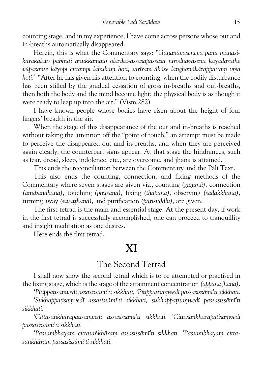counting stage, and in my experience, I have come across persons whose out and in-breaths automatically disappeared.

Herein, this is what the Commentary says: "Gananāvaseneva pana manasikārakālato pabhuti anukkamato olārika-assāsapassāsa nirodhavasena kāyadarathe vūpasante kāyopi cittampi lahukam hoti, sarīram ākāse langhanākārappattam viya *hoti."*"After he has given his attention to counting, when the bodily disturbance has been stilled by the gradual cessation of gross in-breaths and out-breaths, then both the body and the mind become light: the physical body is as though it were ready to leap up into the air." (Vism.282)

I have known people whose bodies have risen about the height of four fingers' breadth in the air.

When the stage of this disappearance of the out and in-breaths is reached without taking the attention off the "point of touch," an attempt must be made to perceive the disappeared out and in-breaths, and when they are perceived again clearly, the counterpart signs appear. At that stage the hindrances, such as fear, dread, sleep, indolence, etc., are overcome, and jhæna is attained.

This ends the reconciliation between the Commentary and the Pāli Text.

This also ends the counting, connection, and fixing methods of the Commentary where seven stages are given viz., counting (ganana), connection *(anubandhanæ),* touching*(phusanæ),*fixing*(¥hapanæ),* observing*(sallakkha¼æ),* turning away*(viva¥¥hanæ),* and purification*(pærisuddhi),* are given.

The first tetrad is the main and essential stage. At the present day, if work in the first tetrad is successfully accomplished, one can proceed to tranquillity and insight meditation as one desires.

Here ends the first tetrad.

### **XI**

#### The Second Tetrad

I shall now show the second tetrad which is to be attempted or practised in the fixing stage, which is the stage of the attainment concentration*(appanæ jhæna).*

'Pītippatisamvedī assasissāmī'ti sikkhati, 'Pītippatisamvedī passasissāmī'ti sikkhati.

*'Sukhappa¥isaµvedø assasissæmø'ti sikkhati, sukhappa¥isaµvedø passasissæmø'ti sikkhati.*

'Cittasankhārapatisamvedī assasissāmī'ti sikkhati. 'Cittasankhārapatisamvedī *passasissæmø'ti sikkhati.*

'Passambhayam cittasankhāram assasissāmī'ti sikkhati. 'Passambhayam citta*sa³khæraµ passasissæmø'ti sikkhati.*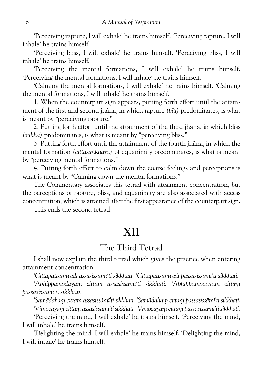'Perceiving rapture, I will exhale' he trains himself. 'Perceiving rapture, I will inhale' he trains himself.

'Perceiving bliss, I will exhale' he trains himself. 'Perceiving bliss, I will inhale' he trains himself.

'Perceiving the mental formations, I will exhale' he trains himself. 'Perceiving the mental formations, I will inhale' he trains himself.

'Calming the mental formations, I will exhale' he trains himself. 'Calming the mental formations, I will inhale' he trains himself.

1. When the counterpart sign appears, putting forth effort until the attain ment of the first and second jhæna, in which rapture*(pøti)* predominates, is what is meant by "perceiving rapture."

2. Putting forth effort until the attainment of the third jhāna, in which bliss *(sukha)* predominates, is what is meant by "perceiving bliss."

3. Putting forth effort until the attainment of the fourth jhāna, in which the mental formation *(cittasankhāra)* of equanimity predominates, is what is meant by "perceiving mental formations."

4. Putting forth effort to calm down the coarse feelings and perceptions is what is meant by "Calming down the mental formations."

The Commentary associates this tetrad with attainment concentration, but the perceptions of rapture, bliss, and equanimity are also associated with access concentration, which is attained after the first appearance of the counterpart sign.

This ends the second tetrad.

## **XII**

#### The Third Tetrad

I shall now explain the third tetrad which gives the practice when entering attainment concentration.

*'Cittapa¥isaµvedø assasissæmø'ti sikkhati. 'Cittapa¥isaµvedø passasissæmø'ti sikkhati.*

*'Abhippamodayaµ cittaµ assasissæmø'ti sikkhati. 'Abhippamodayaµ cittaµ passasissæmø'ti sikkhati.*

*'Samædahaµ cittaµ assasissæmø'ti sikkhati. 'Samædahaµ cittaµ passasissæmø'ti sikkhati.*

*'Vimocayaµ cittaµ assasissæmø'ti sikkhati. 'Vimocayaµ cittaµ passasissæmø'ti sikkhati.*

'Perceiving the mind, I will exhale' he trains himself. 'Perceiving the mind, I will inhale' he trains himself.

'Delighting the mind, I will exhale' he trains himself. 'Delighting the mind, I will inhale' he trains himself.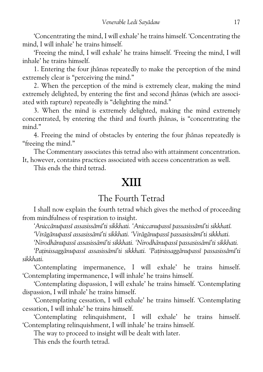'Concentrating the mind, I will exhale' he trains himself. 'Concentrating the mind, I will inhale' he trains himself.

'Freeing the mind, I will exhale' he trains himself. 'Freeing the mind, I will inhale' he trains himself.

1. Entering the four ihanas repeatedly to make the perception of the mind extremely clear is "perceiving the mind."

2. When the perception of the mind is extremely clear, making the mind extremely delighted, by entering the first and second jhanas (which are associated with rapture) repeatedly is "delighting the mind."

3. When the mind is extremely delighted, making the mind extremely concentrated, by entering the third and fourth jhanas, is "concentrating the mind."

4. Freeing the mind of obstacles by entering the four jhanas repeatedly is "freeing the mind."

The Commentary associates this tetrad also with attainment concentration.

It, however, contains practices associated with access concentration as well.

This ends the third tetrad.

## **XIII**

#### The Fourth Tetrad

I shall now explain the fourth tetrad which gives the method of proceeding from mindfulness of respiration to insight.

*'Aniccænupassø assasissæmø'ti sikkhati. 'Aniccanupassø passasissæmø'ti sikkhatø.*

*'Virægænupassø assasissæmø'ti sikkhati. 'Virægænupassø passasissæmø'ti sikkhati.*

*'Nirodhænupassø assasissæmø'ti sikkhati. 'Nirodhænupassø passasissæmø'ti sikkhati.*

*'Pa¥inissaggænupassø assasissæmø'ti sikkhati. 'Pa¥inissaggænupassø passasissæmø'ti sikkhati.*

'Contemplating impermanence, I will exhale' he trains himself. 'Contemplating impermanence, I will inhale' he trains himself.

'Contemplating dispassion, I will exhale' he trains himself. 'Contemplating dispassion, I will inhale' he trains himself.

'Contemplating cessation, I will exhale' he trains himself. 'Contemplating cessation, I will inhale' he trains himself.

'Contemplating relinquishment, I will exhale' he trains himself. 'Contemplating relinquishment, I will inhale' he trains himself.

The way to proceed to insight will be dealt with later.

This ends the fourth tetrad.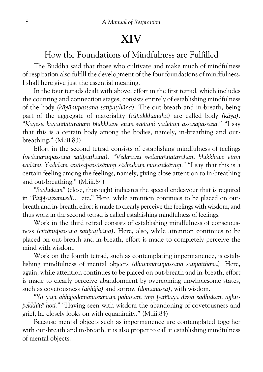## **XIV**

## How the Foundations of Mindfulness are Fulfilled

The Buddha said that those who cultivate and make much of mindfulness of respiration also fulfill the development of the four foundations of mindfulness. I shall here give just the essential meaning.

In the four tetrads dealt with above, effort in the first tetrad, which includes the counting and connection stages, consists entirely of establishing mindfulness of the body*(kæyænupassana satipa¥¥hæna).* The out-breath and in-breath, being part of the aggregate of materiality*(rþpakkhandha)* are called body*(kæya). "Kæyesu kæyaññataræhaµ bhikkhave etaµ vadæmi yadidaµ assæsapassæsæ."* "I say that this is a certain body among the bodies, namely, in-breathing and out breathing." (M.iii.83)

Effort in the second tetrad consists of establishing mindfulness of feelings *(vedanænupassana satipa¥¥hæna)*.*"Vedanæsu vedanaññætaræhaµ bhikkhave etaµ* vadāmi. Yadidam assāsapassāsānam sādhukam manasikāram." "I say that this is a certain feeling among the feelings, namely, giving close attention to in-breathing and out-breathing." (M.iii.84)

"Sādhukam" (close, thorough) indicates the special endeavour that is required in "Pūtippatisamvedī... etc." Here, while attention continues to be placed on outbreath and in-breath, effort is made to clearly perceive the feelings with wisdom, and thus work in the second tetrad is called establishing mindfulness of feelings.

Work in the third tetrad consists of establishing mindfulness of conscious ness*(cittænupassana satipa¥¥hæna).* Here, also, while attention continues to be placed on out-breath and in-breath, effort is made to completely perceive the mind with wisdom.

Work on the fourth tetrad, such as contemplating impermanence, is estab lishing mindfulness of mental objects (dhammānupassana satipatthāna). Here, again, while attention continues to be placed on out-breath and in-breath, effort is made to clearly perceive abandonment by overcoming unwholesome states, such as covetousness*(abhijjæ)* and sorrow*(domanassa),* with wisdom.

*"Yo yaµ abhijjædomanassænaµ pahænaµ taµ paññæya disvæ sædhukaµ ajjhu pekkhitæ hoti."* "Having seen with wisdom the abandoning of covetousness and grief, he closely looks on with equanimity." (M.iii.84)

Because mental objects such as impermanence are contemplated together with out-breath and in-breath, it is also proper to call it establishing mindfulness of mental objects.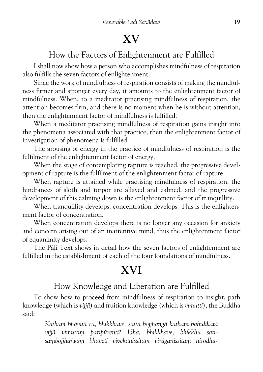## **XV**

#### How the Factors of Enlightenment are Fulfilled

I shall now show how a person who accomplishes mindfulness of respiration also fulfills the seven factors of enlightenment.

Since the work of mindfulness of respiration consists of making the mindful ness firmer and stronger every day, it amounts to the enlightenment factor of mindfulness. When, to a meditator practising mindfulness of respiration, the attention becomes firm, and there is no moment when he is without attention, then the enlightenment factor of mindfulness is fulfilled.

When a meditator practising mindfulness of respiration gains insight into the phenomena associated with that practice, then the enlightenment factor of investigation of phenomena is fulfilled.

The arousing of energy in the practice of mindfulness of respiration is the fulfilment of the enlightenment factor of energy.

When the stage of contemplating rapture is reached, the progressive development of rapture is the fulfilment of the enlightenment factor of rapture.

When rapture is attained while practising mindfulness of respiration, the hindrances of sloth and torpor are allayed and calmed, and the progressive development of this calming down is the enlightenment factor of tranquillity.

When tranquillity develops, concentration develops. This is the enlightenment factor of concentration.

When concentration develops there is no longer any occasion for anxiety and concern arising out of an inattentive mind, thus the enlightenment factor of equanimity develops.

The Pāli Text shows in detail how the seven factors of enlightenment are fulfilled in the establishment of each of the four foundations of mindfulness.

## **XVI**

#### How Knowledge and Liberation are Fulfilled

To show how to proceed from mindfulness of respiration to insight, path knowledge (which is*vijjæ*) and fruition knowledge (which is*vimutti*), the Buddha said:

> Katham bhāvitā ca, bhikkhave, satta bojjhangā katham bahulīkatā vijjā vimuttim paripūrenti? Idha, bhikkhave, bhikkhu satisambojjhangam bhaveti vivekanissitam virāganissitam nirodha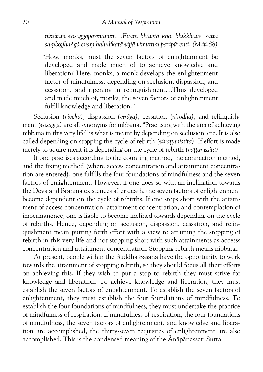*nissitaµ vosaggaparinæmiµ…Evaµ bhævitæ kho, bhikkhave, satta* sambojihangā evam bahulīkatā vijjā vimuttim paripūrenti. (M.iii.88)

"How, monks, must the seven factors of enlightenment be developed and made much of to achieve knowledge and liberation? Here, monks, a monk develops the enlightenment factor of mindfulness, depending on seclusion, dispassion, and cessation, and ripening in relinquishment…Thus developed and made much of, monks, the seven factors of enlightenment fulfill knowledge and liberation."

Seclusion*(viveka),* dispassion*(viræga),* cessation*(nirodha),* and relinquish ment *(vosagga)* are all synonyms for nibbāna. "Practising with the aim of achieving nibbæna in this very life" is what is meant by depending on seclusion, etc. It is also called depending on stopping the cycle of rebirth *(vivattanissita)*. If effort is made merely to aquire merit it is depending on the cycle of rebirth (vattanissita).

If one practises according to the counting method, the connection method, and the fixing method (where access concentration and attainment concentra tion are entered), one fulfills the four foundations of mindfulness and the seven factors of enlightenment. However, if one does so with an inclination towards the Deva and Brahma existences after death, the seven factors of enlightenment become dependent on the cycle of rebirths. If one stops short with the attain ment of access concentration, attainment concentration, and contemplation of impermanence, one is liable to become inclined towards depending on the cycle of rebirths. Hence, depending on seclusion, dispassion, cessation, and relin quishment mean putting forth effort with a view to attaining the stopping of rebirth in this very life and not stopping short with such attainments as accesss concentration and attainment concentration. Stopping rebirth means nibbæna.

At present, people within the Buddha Sāsana have the opportunity to work towards the attainment of stopping rebirth, so they should focus all their efforts on achieving this. If they wish to put a stop to rebirth they must strive for knowledge and liberation. To achieve knowledge and liberation, they must establish the seven factors of enlightenment. To establish the seven factors of enlightenment, they must establish the four foundations of mindfulness. To establish the four foundations of mindfulness, they must undertake the practice of mindfulness of respiration. If mindfulness of respiration, the four foundations of mindfulness, the seven factors of enlightenment, and knowledge and libera tion are accomplished, the thirty-seven requisites of enlightenment are also accomplished. This is the condensed meaning of the Anāpānassati Sutta.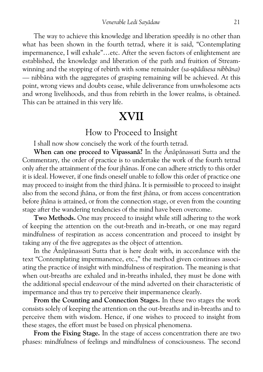The way to achieve this knowledge and liberation speedily is no other than what has been shown in the fourth tetrad, where it is said, "Contemplating impermanence, I will exhale"…etc. After the seven factors of enlightement are established, the knowledge and liberation of the path and fruition of Stream winning and the stopping of rebirth with some remainder *(sa-upādisesa nibbāna)* — nibbæna with the aggregates of grasping remaining will be achieved. At this point, wrong views and doubts cease, while deliverance from unwholesome acts and wrong livelihoods, and thus from rebirth in the lower realms, is obtained. This can be attained in this very life.

## **XVII**

#### How to Proceed to Insight

I shall now show concisely the work of the fourth tetrad.

When can one proceed to Vipassana? In the Anapanassati Sutta and the Commentary, the order of practice is to undertake the work of the fourth tetrad only after the attainment of the four jhænas. If one can adhere strictly to this order it is ideal. However, if one finds oneself unable to follow this order of practice one may proceed to insight from the third jhæna. It is permissible to proceed to insight also from the second jhæna, or from the first jhæna, or from access concentration before jhāna is attained, or from the connection stage, or even from the counting stage after the wandering tendencies of the mind have been overcome.

**Two Methods.** One may proceed to insight while still adhering to the work of keeping the attention on the out-breath and in-breath, or one may regard mindfulness of respiration as access concentration and proceed to insight by taking any of the five aggregates as the object of attention.

In the Anāpānassati Sutta that is here dealt with, in accordance with the text "Contemplating impermanence, etc.," the method given continues associ ating the practice of insight with mindfulness of respiration. The meaning is that when out-breaths are exhaled and in-breaths inhaled, they must be done with the additional special endeavour of the mind adverted on their characteristic of impermance and thus try to perceive their impermanence clearly.

**From the Counting and Connection Stages.**In these two stages the work consists solely of keeping the attention on the out-breaths and in-breaths and to perceive them with wisdom. Hence, if one wishes to proceed to insight from these stages, the effort must be based on physical phenomena.

**From the Fixing Stage.**In the stage of access concentration there are two phases: mindfulness of feelings and mindfulness of consciousness. The second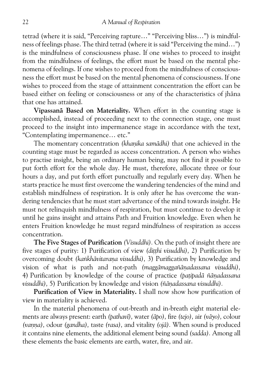tetrad (where it is said, "Perceiving rapture…" "Perceiving bliss…") is mindful ness of feelings phase. The third tetrad (where it is said "Perceiving the mind…") is the mindfulness of consciousness phase. If one wishes to proceed to insight from the mindfulness of feelings, the effort must be based on the mental phe nomena of feelings. If one wishes to proceed from the mindfulness of conscious ness the effort must be based on the mental phenomena of consciousness. If one wishes to proceed from the stage of attainment concentration the effort can be based either on feeling or consciousness or any of the characteristics of jhana that one has attained.

**Vipassanæ Based on Materiality.** When effort in the counting stage is accomplished, instead of proceeding next to the connection stage, one must proceed to the insight into impermanence stage in accordance with the text, "Contemplating impermanence… etc."

The momentary concentration (khanika samādhi) that one achieved in the counting stage must be regarded as access concentration. A person who wishes to practise insight, being an ordinary human being, may not find it possible to put forth effort for the whole day. He must, therefore, allocate three or four hours a day, and put forth effort punctually and regularly every day. When he starts practice he must first overcome the wandering tendencies of the mind and establish mindfulness of respiration. It is only after he has overcome the wan dering tendencies that he must start advertance of the mind towards insight. He must not relinquish mindfulness of respiration, but must continue to develop it until he gains insight and attains Path and Fruition knowledge. Even when he enters Fruition knowledge he must regard mindfulness of respiration as access concentration.

**The Five Stages of Purification***(Visuddhi).* On the path of insight there are five stages of purity: 1) Purification of view (ditthi visuddhi), 2) Purification by overcoming doubt (kankhāvitarana visuddhi), 3) Purification by knowledge and vision of what is path and not-path (maggamaggañanadassana visuddhi), 4) Purification by knowledge of the course of practice (patipadā ñānadassana *visuddhi*), 5) Purification by knowledge and vision (ñānadassana visuddhi).

**Purification of View in Materiality.** I shall now show how purification of view in materiality is achieved.

In the material phenomena of out-breath and in-breath eight material ele ments are always present: earth*(pathavø),* water*(æpo),* fire*(tejo),* air*(væyo),* colour *(vanna)*, odour *(gandha)*, taste *(rasa)*, and vitality *(ojā)*. When sound is produced it contains nine elements, the additional element being sound*(sadda).* Among all these elements the basic elements are earth, water, fire, and air.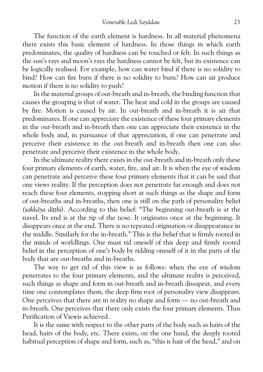The function of the earth element is hardness. In all material phenomena there exists this basic element of hardness. In those things in which earth predominates, the quality of hardness can be touched or felt. In such things as the sun's rays and moon's rays the hardness cannot be felt, but its existence can be logically realised. For example, how can water bind if there is no solidity to bind? How can fire burn if there is no solidity to burn? How can air produce motion if there is no solidity to push?

In the material groups of out-breath and in-breath, the binding function that causes the grouping is that of water. The heat and cold in the groups are caused by fire. Motion is caused by air. In out-breath and in-breath it is air that predominates. If one can appreciate the existence of these four primary elements in the out-breath and in-breath then one can appreciate their existence in the whole body and, in pursuance of that appreciation, if one can penetrate and perceive their existence in the out-breath and in-breath then one can also penetrate and perceive their existence in the whole body.

In the ultimate reality there exists in the out-breath and in-breath only these four primary elements of earth, water, fire, and air. It is when the eye of wisdom can penetrate and perceive these four primary elements that it can be said that one views reality. If the perception does not penetrate far enough and does not reach these four elements, stopping short at such things as the shape and form of out-breaths and in-breaths, then one is still on the path of personality belief (sakkāya ditthi). According to this belief: "The beginning out-breath is at the navel. Its end is at the tip of the nose. It originates once at the beginning. It disappears once at the end. There is no repeated origination or disappearance in the middle. Similarly for the in-breath." This is the belief that is firmly rooted in the minds of worldlings. One must rid oneself of this deep and firmly rooted belief in the perception of one's body by ridding oneself of it in the parts of the body that are out-breaths and in-breaths.

The way to get rid of this view is as follows: when the eye of wisdom penetrates to the four primary elements, and the ultimate reality is perceived, such things as shape and form in out-breath and in-breath dissapear, and every time one contemplates them, the deep firm root of personality view disappears. One perceives that there are in reality no shape and form — no out-breath and in-breath. One perceives that there only exists the four primary elements. Thus Purification of Viewis achieved.

It is the same with respect to the other parts of the body such as hairs of the head, hairs of the body, etc. There exists, on the one hand, the deeply rooted habitual perception of shape and form, such as, "this is hair of the head," and on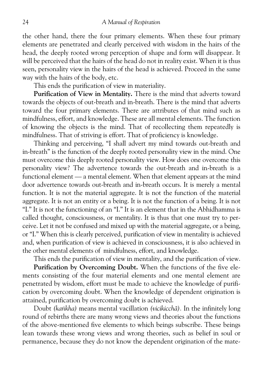the other hand, there the four primary elements. When these four primary elements are penetrated and clearly perceived with wisdom in the hairs of the head, the deeply rooted wrong perception of shape and form will disappear. It will be perceived that the hairs of the head do not in reality exist. When it is thus seen, personality view in the hairs of the head is achieved. Proceed in the same way with the hairs of the body, etc.

This ends the purification of view in materiality.

**Purification of View in Mentality.** There is the mind that adverts toward towards the objects of out-breath and in-breath. There is the mind that adverts toward the four primary elements. There are attributes of that mind such as mindfulness, effort, and knowledge. These are all mental elements. The function of knowing the objects is the mind. That of recollecting them repeatedly is mindfulness. That of striving is effort. That of proficiency is knowledge.

Thinking and perceiving, "I shall advert my mind towards out-breath and in-breath" is the function of the deeply rooted personality view in the mind. One must overcome this deeply rooted personality view. How does one overcome this personality view? The advertence towards the out-breath and in-breath is a functional element — a mental element. When that element appears at the mind door advertence towards out-breath and in-breath occurs. It is merely a mental function. It is not the material aggregate. It is not the function of the material aggregate. It is not an entity or a being. It is not the function of a being. It is not "I." It is not the functioning of an "I." It is an element that in the Abhidhamma is called thought, consciousness, or mentality. It is thus that one must try to per ceive. Let it not be confused and mixed up with the material aggregate, or a being, or "I." When this is clearly perceived, purification of view in mentality is achieved and, when purification of view is achieved in consciousness, it is also achieved in the other mental elements of mindfulness, effort, and knowledge.

This ends the purification of view in mentality, and the purification of view.

**Purification by Overcoming Doubt.** When the functions of the five ele ments consisting of the four material elements and one mental element are penetrated by wisdom, effort must be made to achieve the knowledge of purifi cation by overcoming doubt. When the knowledge of dependent origination is attained, purification by overcoming doubt is achieved.

Doubt*(ka³kha)* means mental vacillation*(vicikicchæ).* In the infinitely long round of rebirths there are many wrong views and theories about the functions of the above-mentioned five elements to which beings subscribe. These beings lean towards these wrong views and wrong theories, such as belief in soul or permanence, because they do not know the dependent origination of the mate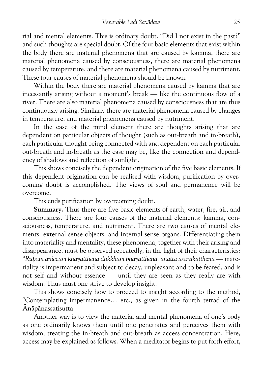rial and mental elements. This is ordinary doubt. "Did I not exist in the past?" and such thoughts are special doubt. Of the four basic elements that exist within the body there are material phenomena that are caused by kamma, there are material phenomena caused by consciousness, there are material phenomena caused by temperature, and there are material phenomena caused by nutriment. These four causes of material phenomena should be known.

Within the body there are material phenomena caused by kamma that are incessantly arising without a moment's break — like the continuous flow of a river. There are also material phenomena caused by consciousness that are thus continuously arising. Similarly there are material phenomena caused by changes in temperature, and material phenomena caused by nutriment.

In the case of the mind element there are thoughts arising that are dependent on particular objects of thought (such as out-breath and in-breath), each particular thought being connected with and dependent on each particular out-breath and in-breath as the case may be, like the connection and depend ency of shadows and reflection of sunlight.

This shows concisely the dependent origination of the five basic elements. If this dependent origination can be realised with wisdom, purification by over coming doubt is accomplished. The views of soul and permanence will be overcome.

This ends purification by overcoming doubt.

**Summary.**Thus there are five basic elements of earth, water, fire, air, and consciousness. There are four causes of the material elements: kamma, con sciousness, temperature, and nutriment. There are two causes of mental ele ments: external sense objects, and internal sense organs. Differentiating them into materiality and mentality, these phenomena, together with their arising and disappearance, must be observed repeatedly, in the light of their characteristics: *"Rþpaµ aniccaµ khaya¥¥hena dukkhaµ bhaya¥¥hena, anattæ asæraka¥¥hena* — mate riality is impermanent and subject to decay, unpleasant and to be feared, and is not self and without essence — until they are seen as they really are with wisdom. Thus must one strive to develop insight.

This shows concisely how to proceed to insight according to the method, "Contemplating impermanence… etc., as given in the fourth tetrad of the Ænæpænassatisutta.

Another way is to view the material and mental phenomena of one's body as one ordinarily knows them until one penetrates and perceives them with wisdom, treating the in-breath and out-breath as access concentration. Here, access may be explained as follows. When a meditator begins to put forth effort,